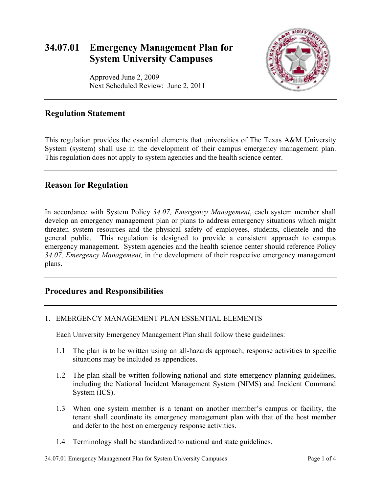# **34.07.01 Emergency Management Plan for System University Campuses**

Approved June 2, 2009

Next Scheduled Review: June 2, 2011



### **Regulation Statement**

This regulation provides the essential elements that universities of The Texas A&M University System (system) shall use in the development of their campus emergency management plan. This regulation does not apply to system agencies and the health science center.

## **Reason for Regulation**

In accordance with System Policy *34.07, Emergency Management*, each system member shall develop an emergency management plan or plans to address emergency situations which might threaten system resources and the physical safety of employees, students, clientele and the general public. This regulation is designed to provide a consistent approach to campus emergency management. System agencies and the health science center should reference Policy *34.07, Emergency Management,* in the development of their respective emergency management plans.

## **Procedures and Responsibilities**

### 1. EMERGENCY MANAGEMENT PLAN ESSENTIAL ELEMENTS

Each University Emergency Management Plan shall follow these guidelines:

- 1.1 The plan is to be written using an all-hazards approach; response activities to specific situations may be included as appendices.
- 1.2 The plan shall be written following national and state emergency planning guidelines, including the National Incident Management System (NIMS) and Incident Command System (ICS).
- 1.3 When one system member is a tenant on another member's campus or facility, the tenant shall coordinate its emergency management plan with that of the host member and defer to the host on emergency response activities.
- 1.4 Terminology shall be standardized to national and state guidelines.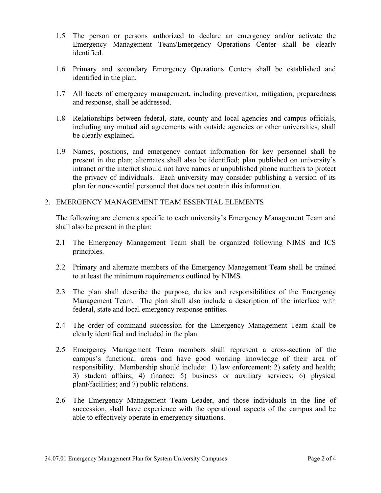- 1.5 The person or persons authorized to declare an emergency and/or activate the Emergency Management Team/Emergency Operations Center shall be clearly identified.
- 1.6 Primary and secondary Emergency Operations Centers shall be established and identified in the plan.
- 1.7 All facets of emergency management, including prevention, mitigation, preparedness and response, shall be addressed.
- 1.8 Relationships between federal, state, county and local agencies and campus officials, including any mutual aid agreements with outside agencies or other universities, shall be clearly explained.
- 1.9 Names, positions, and emergency contact information for key personnel shall be present in the plan; alternates shall also be identified; plan published on university's intranet or the internet should not have names or unpublished phone numbers to protect the privacy of individuals. Each university may consider publishing a version of its plan for nonessential personnel that does not contain this information.

#### 2. EMERGENCY MANAGEMENT TEAM ESSENTIAL ELEMENTS

The following are elements specific to each university's Emergency Management Team and shall also be present in the plan:

- 2.1 The Emergency Management Team shall be organized following NIMS and ICS principles.
- 2.2 Primary and alternate members of the Emergency Management Team shall be trained to at least the minimum requirements outlined by NIMS.
- 2.3 The plan shall describe the purpose, duties and responsibilities of the Emergency Management Team. The plan shall also include a description of the interface with federal, state and local emergency response entities.
- 2.4 The order of command succession for the Emergency Management Team shall be clearly identified and included in the plan.
- 2.5 Emergency Management Team members shall represent a cross-section of the campus's functional areas and have good working knowledge of their area of responsibility. Membership should include: 1) law enforcement; 2) safety and health; 3) student affairs; 4) finance; 5) business or auxiliary services; 6) physical plant/facilities; and 7) public relations.
- 2.6 The Emergency Management Team Leader, and those individuals in the line of succession, shall have experience with the operational aspects of the campus and be able to effectively operate in emergency situations.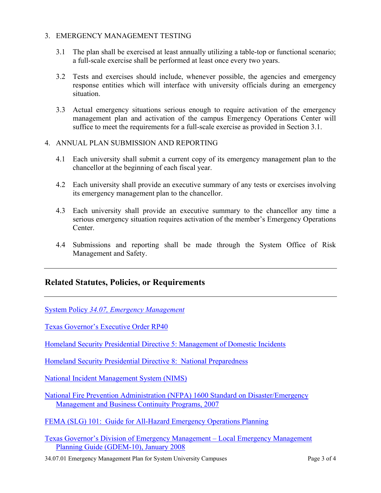#### 3. EMERGENCY MANAGEMENT TESTING

- 3.1 The plan shall be exercised at least annually utilizing a table-top or functional scenario; a full-scale exercise shall be performed at least once every two years.
- 3.2 Tests and exercises should include, whenever possible, the agencies and emergency response entities which will interface with university officials during an emergency situation.
- 3.3 Actual emergency situations serious enough to require activation of the emergency management plan and activation of the campus Emergency Operations Center will suffice to meet the requirements for a full-scale exercise as provided in Section 3.1.

#### 4. ANNUAL PLAN SUBMISSION AND REPORTING

- 4.1 Each university shall submit a current copy of its emergency management plan to the chancellor at the beginning of each fiscal year.
- 4.2 Each university shall provide an executive summary of any tests or exercises involving its emergency management plan to the chancellor.
- 4.3 Each university shall provide an executive summary to the chancellor any time a serious emergency situation requires activation of the member's Emergency Operations Center.
- 4.4 Submissions and reporting shall be made through the System Office of Risk Management and Safety.

### **Related Statutes, Policies, or Requirements**

System Policy *[34.07, Emergency Management](http://tamus.edu/offices/policy/policies/pdf/34-07.pdf)*

[Texas Governor's Executive Order RP40](http://governor.state.tx.us/news/executive-order/3690/)

[Homeland Security Presidential Directive 5: Management of Domestic Incidents](http://www.dhs.gov/xabout/laws/gc_1214592333605.shtm)

[Homeland Security Presidential Directive 8: National Preparedness](http://www.dhs.gov/xabout/laws/gc_1215444247124.shtm)

[National Incident Management System \(NIMS\)](http://www.dhs.gov/xlibrary/assets/NIMS-90-web.pdf)

[National Fire Prevention Administration \(NFPA\) 1600 Standard on Disaster/Emergency](http://www.nfpa.org/assets/files/PDF/NFPA1600.pdf)  [Management and Business Continuity Programs, 2007](http://www.nfpa.org/assets/files/PDF/NFPA1600.pdf)

[FEMA \(SLG\) 101: Guide for All-Hazard Emergency Operations Planning](http://www.fema.gov/plan/gaheop.shtm)

[Texas Governor's Division of Emergency Management – Local Emergency Management](ftp://ftp.txdps.state.tx.us/dem/plans/dem_10.pdf)  [Planning Guide \(GDEM-10\), January 2008](ftp://ftp.txdps.state.tx.us/dem/plans/dem_10.pdf)

34.07.01 Emergency Management Plan for System University Campuses Page 3 of 4